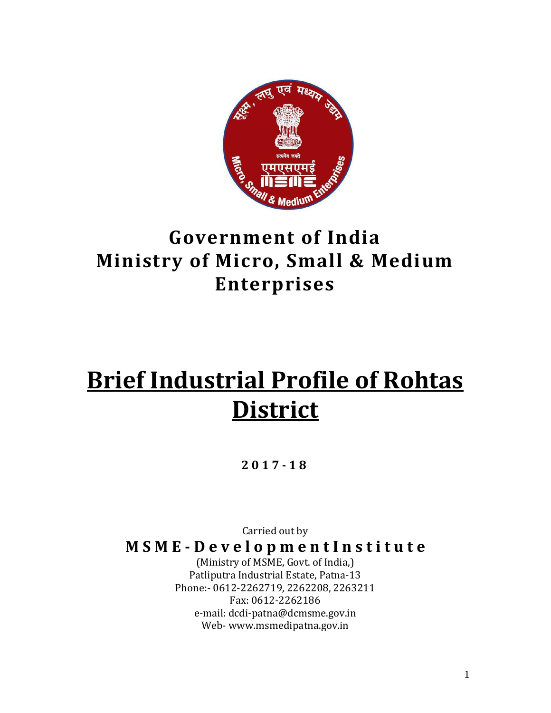

# **Government of India Ministry of Micro, Small & Medium Enterprises**

# **Brief Industrial Profile of Rohtas District**

#### **2017 - 1 8**

Carried out by

**M S M E - D e v e l o p m e n t I n s t i t u t e**

(Ministry of MSME, Govt. of India,) Patliputra Industrial Estate, Patna-13 Phone:- 0612-2262719, 2262208, 2263211 Fax: 0612-2262186 e-mail: dcdi-patna@dcmsme.gov.in Web- www.msmedipatna.gov.in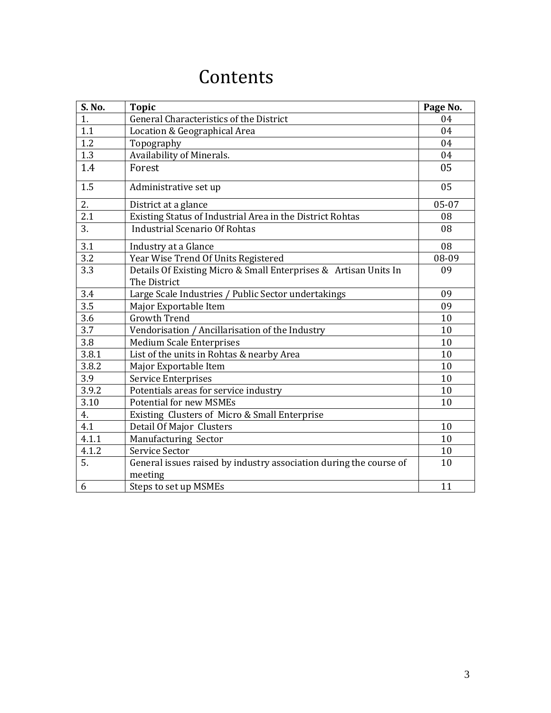# **Contents**

| S. No. | <b>Topic</b>                                                                     | Page No. |
|--------|----------------------------------------------------------------------------------|----------|
| 1.     | General Characteristics of the District                                          | 04       |
| 1.1    | Location & Geographical Area                                                     | 04       |
| 1.2    | Topography                                                                       | 04       |
| 1.3    | Availability of Minerals.                                                        | 04       |
| 1.4    | Forest                                                                           | 05       |
| 1.5    | Administrative set up                                                            | 05       |
| 2.     | District at a glance                                                             | 05-07    |
| 2.1    | Existing Status of Industrial Area in the District Rohtas                        | 08       |
| 3.     | <b>Industrial Scenario Of Rohtas</b>                                             | 08       |
| 3.1    | Industry at a Glance                                                             | 08       |
| 3.2    | Year Wise Trend Of Units Registered                                              | 08-09    |
| 3.3    | Details Of Existing Micro & Small Enterprises & Artisan Units In<br>The District | 09       |
| 3.4    | Large Scale Industries / Public Sector undertakings                              | 09       |
| 3.5    | Major Exportable Item                                                            | 09       |
| 3.6    | <b>Growth Trend</b>                                                              | 10       |
| 3.7    | Vendorisation / Ancillarisation of the Industry                                  | 10       |
| 3.8    | <b>Medium Scale Enterprises</b>                                                  | 10       |
| 3.8.1  | List of the units in Rohtas & nearby Area                                        | 10       |
| 3.8.2  | Major Exportable Item                                                            | 10       |
| 3.9    | <b>Service Enterprises</b>                                                       | 10       |
| 3.9.2  | Potentials areas for service industry                                            | 10       |
| 3.10   | <b>Potential for new MSMEs</b>                                                   | 10       |
| 4.     | Existing Clusters of Micro & Small Enterprise                                    |          |
| 4.1    | Detail Of Major Clusters                                                         | 10       |
| 4.1.1  | Manufacturing Sector                                                             | 10       |
| 4.1.2  | Service Sector                                                                   | 10       |
| 5.     | General issues raised by industry association during the course of<br>meeting    | 10       |
| 6      | Steps to set up MSMEs                                                            | 11       |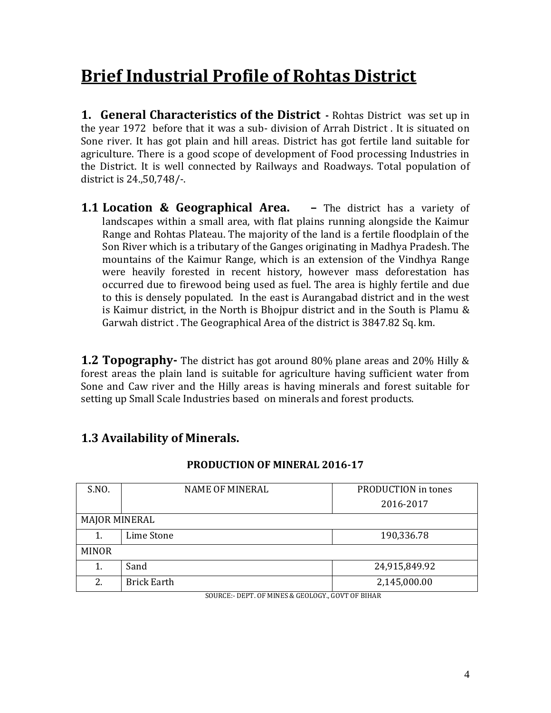# **Brief Industrial Profile of Rohtas District**

**1. General Characteristics of the District -** Rohtas District was set up in the year 1972 before that it was a sub- division of Arrah District . It is situated on Sone river. It has got plain and hill areas. District has got fertile land suitable for agriculture. There is a good scope of development of Food processing Industries in the District. It is well connected by Railways and Roadways. Total population of district is 24.,50,748/-.

**1.1 Location & Geographical Area. –** The district has a variety of landscapes within a small area, with flat plains running alongside the Kaimur Range and Rohtas Plateau. The majority of the land is a fertile floodplain of the Son River which is a tributary of the Ganges originating in Madhya Pradesh. The mountains of the Kaimur Range, which is an extension of the Vindhya Range were heavily forested in recent history, however mass deforestation has occurred due to firewood being used as fuel. The area is highly fertile and due to this is densely populated. In the east is Aurangabad district and in the west is Kaimur district, in the North is Bhojpur district and in the South is Plamu & Garwah district . The Geographical Area of the district is 3847.82 Sq. km.

**1.2 Topography-** The district has got around 80% plane areas and 20% Hilly & forest areas the plain land is suitable for agriculture having sufficient water from Sone and Caw river and the Hilly areas is having minerals and forest suitable for setting up Small Scale Industries based on minerals and forest products.

#### **1.3 Availability of Minerals.**

| S.NO.                | <b>NAME OF MINERAL</b> | PRODUCTION in tones |
|----------------------|------------------------|---------------------|
|                      |                        | 2016-2017           |
| <b>MAJOR MINERAL</b> |                        |                     |
|                      | Lime Stone             | 190,336.78          |
| <b>MINOR</b>         |                        |                     |
| 1.                   | Sand                   | 24,915,849.92       |
| 2.                   | <b>Brick Earth</b>     | 2,145,000.00        |

#### **PRODUCTION OF MINERAL 2016-17**

SOURCE:- DEPT. OF MINES & GEOLOGY., GOVT OF BIHAR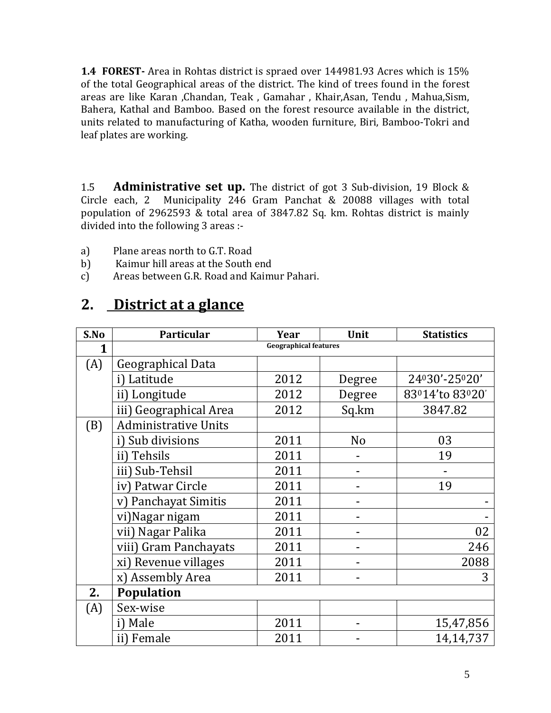**1.4 FOREST-** Area in Rohtas district is spraed over 144981.93 Acres which is 15% of the total Geographical areas of the district. The kind of trees found in the forest areas are like Karan ,Chandan, Teak , Gamahar , Khair,Asan, Tendu , Mahua,Sism, Bahera, Kathal and Bamboo. Based on the forest resource available in the district, units related to manufacturing of Katha, wooden furniture, Biri, Bamboo-Tokri and leaf plates are working.

1.5 **Administrative set up.** The district of got 3 Sub-division, 19 Block & Circle each, 2 Municipality 246 Gram Panchat & 20088 villages with total population of 2962593 & total area of 3847.82 Sq. km. Rohtas district is mainly divided into the following 3 areas :-

- a) Plane areas north to G.T. Road
- b) Kaimur hill areas at the South end
- c) Areas between G.R. Road and Kaimur Pahari.

### **2. District at a glance**

| S.No | Particular                   | Year | Unit           | <b>Statistics</b> |  |  |  |
|------|------------------------------|------|----------------|-------------------|--|--|--|
| 1    | <b>Geographical features</b> |      |                |                   |  |  |  |
| (A)  | Geographical Data            |      |                |                   |  |  |  |
|      | i) Latitude                  | 2012 | Degree         | 24030'-25020'     |  |  |  |
|      | ii) Longitude                | 2012 | Degree         | 83014'to 83020'   |  |  |  |
|      | iii) Geographical Area       | 2012 | Sq.km          | 3847.82           |  |  |  |
| (B)  | <b>Administrative Units</b>  |      |                |                   |  |  |  |
|      | i) Sub divisions             | 2011 | N <sub>o</sub> | 03                |  |  |  |
|      | ii) Tehsils                  | 2011 |                | 19                |  |  |  |
|      | iii) Sub-Tehsil              | 2011 |                |                   |  |  |  |
|      | iv) Patwar Circle            | 2011 |                | 19                |  |  |  |
|      | Panchayat Simitis<br>V       | 2011 |                |                   |  |  |  |
|      | vi) Nagar nigam              | 2011 |                |                   |  |  |  |
|      | vii) Nagar Palika            | 2011 |                | 02                |  |  |  |
|      | viii) Gram Panchayats        | 2011 |                | 246               |  |  |  |
|      | xi) Revenue villages         | 2011 |                | 2088              |  |  |  |
|      | x) Assembly Area             | 2011 |                | 3                 |  |  |  |
| 2.   | <b>Population</b>            |      |                |                   |  |  |  |
| (A)  | Sex-wise                     |      |                |                   |  |  |  |
|      | i) Male                      | 2011 |                | 15,47,856         |  |  |  |
|      | ii) Female                   | 2011 |                | 14,14,737         |  |  |  |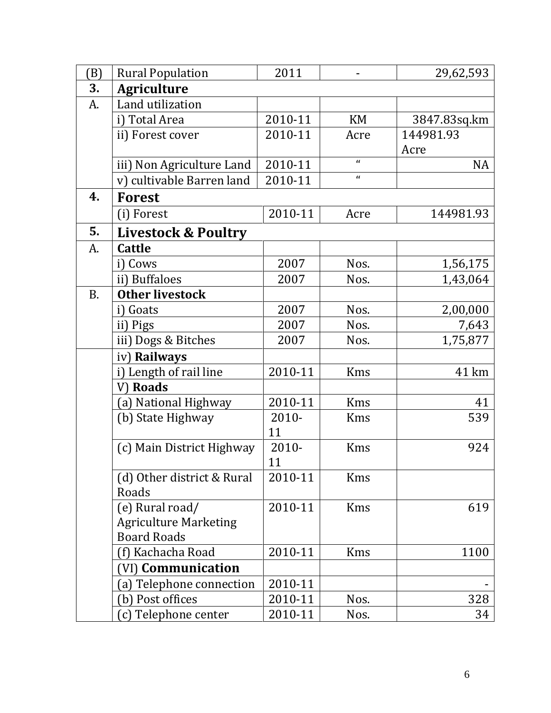| (B)       | <b>Rural Population</b>                                               | 2011           |            | 29,62,593    |
|-----------|-----------------------------------------------------------------------|----------------|------------|--------------|
| 3.        | <b>Agriculture</b>                                                    |                |            |              |
| A.        | Land utilization                                                      |                |            |              |
|           | i) Total Area                                                         | 2010-11        | <b>KM</b>  | 3847.83sq.km |
|           | ii) Forest cover                                                      | 2010-11        | Acre       | 144981.93    |
|           |                                                                       |                |            | Acre         |
|           | iii) Non Agriculture Land                                             | 2010-11        | $\epsilon$ | <b>NA</b>    |
|           | v) cultivable Barren land                                             | 2010-11        | $\epsilon$ |              |
| 4.        | <b>Forest</b>                                                         |                |            |              |
|           | (i) Forest                                                            | 2010-11        | Acre       | 144981.93    |
| 5.        | <b>Livestock &amp; Poultry</b>                                        |                |            |              |
| A.        | <b>Cattle</b>                                                         |                |            |              |
|           | i) Cows                                                               | 2007           | Nos.       | 1,56,175     |
|           | ii) Buffaloes                                                         | 2007           | Nos.       | 1,43,064     |
| <b>B.</b> | <b>Other livestock</b>                                                |                |            |              |
|           | i) Goats                                                              | 2007           | Nos.       | 2,00,000     |
|           | ii) Pigs                                                              | 2007           | Nos.       | 7,643        |
|           | iii) Dogs & Bitches                                                   | 2007           | Nos.       | 1,75,877     |
|           | iv) Railways                                                          |                |            |              |
|           | i) Length of rail line                                                | 2010-11        | Kms        | 41 km        |
|           | V) Roads                                                              |                |            |              |
|           | (a) National Highway                                                  | 2010-11        | <b>Kms</b> | 41           |
|           | (b) State Highway                                                     | $2010 -$<br>11 | <b>Kms</b> | 539          |
|           | (c) Main District Highway                                             | 2010-<br>11    | Kms        | 924          |
|           | (d) Other district & Rural<br>Roads                                   | 2010-11        | <b>Kms</b> |              |
|           | (e) Rural road/<br><b>Agriculture Marketing</b><br><b>Board Roads</b> | 2010-11        | <b>Kms</b> | 619          |
|           | (f) Kachacha Road                                                     | 2010-11        | <b>Kms</b> | 1100         |
|           | (VI) <b>Communication</b>                                             |                |            |              |
|           | (a) Telephone connection                                              | 2010-11        |            |              |
|           | (b) Post offices                                                      | 2010-11        | Nos.       | 328          |
|           | (c) Telephone center                                                  | 2010-11        | Nos.       | 34           |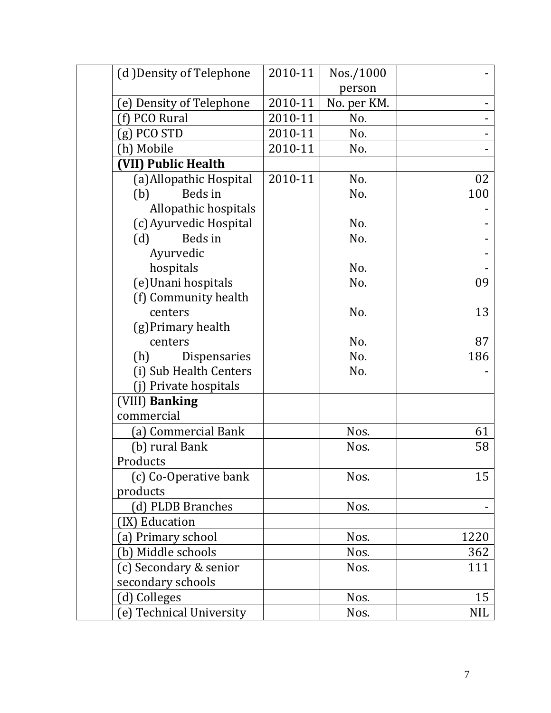| (d) Density of Telephone | 2010-11 | Nos./1000   |            |
|--------------------------|---------|-------------|------------|
|                          |         | person      |            |
| (e) Density of Telephone | 2010-11 | No. per KM. |            |
| (f) PCO Rural            | 2010-11 | No.         |            |
| $(g)$ PCO STD            | 2010-11 | No.         |            |
| (h) Mobile               | 2010-11 | No.         |            |
| (VII) Public Health      |         |             |            |
| (a) Allopathic Hospital  | 2010-11 | No.         | 02         |
| Beds in<br>(b)           |         | No.         | 100        |
| Allopathic hospitals     |         |             |            |
| (c) Ayurvedic Hospital   |         | No.         |            |
| Beds in<br>(d)           |         | No.         |            |
| Ayurvedic                |         |             |            |
| hospitals                |         | No.         |            |
| (e)Unani hospitals       |         | No.         | 09         |
| (f) Community health     |         |             |            |
| centers                  |         | No.         | 13         |
| (g) Primary health       |         |             |            |
| centers                  |         | No.         | 87         |
| (h)<br>Dispensaries      |         | No.         | 186        |
| (i) Sub Health Centers   |         | No.         |            |
| (j) Private hospitals    |         |             |            |
| (VIII) Banking           |         |             |            |
| commercial               |         |             |            |
| (a) Commercial Bank      |         | Nos.        | 61         |
| (b) rural Bank           |         | Nos.        | 58         |
| Products                 |         |             |            |
| (c) Co-Operative bank    |         | Nos.        | 15         |
| products                 |         |             |            |
| (d) PLDB Branches        |         | Nos.        |            |
| (IX) Education           |         |             |            |
| (a) Primary school       |         | Nos.        | 1220       |
| (b) Middle schools       |         | Nos.        | 362        |
| (c) Secondary & senior   |         | Nos.        | 111        |
| secondary schools        |         |             |            |
| (d) Colleges             |         | Nos.        | 15         |
| (e) Technical University |         | Nos.        | <b>NIL</b> |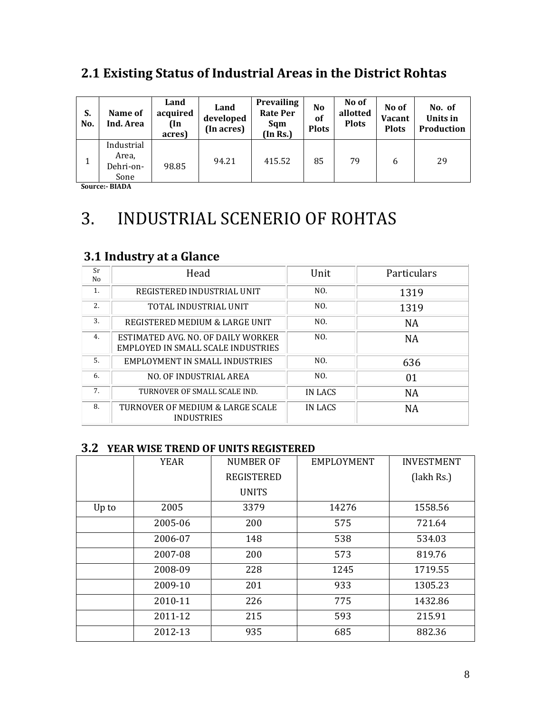### **2.1 Existing Status of Industrial Areas in the District Rohtas**

| S.<br>No. | Name of<br>Ind. Area                     | Land<br>acquired<br>(In<br>acres) | Land<br>developed<br>(In acres) | <b>Prevailing</b><br><b>Rate Per</b><br>Sqm<br>(In Rs.) | N <sub>o</sub><br>of<br><b>Plots</b> | No of<br>allotted<br><b>Plots</b> | No of<br><b>Vacant</b><br><b>Plots</b> | No. of<br>Units in<br>Production |
|-----------|------------------------------------------|-----------------------------------|---------------------------------|---------------------------------------------------------|--------------------------------------|-----------------------------------|----------------------------------------|----------------------------------|
| $\bf{I}$  | Industrial<br>Area,<br>Dehri-on-<br>Sone | 98.85                             | 94.21                           | 415.52                                                  | 85                                   | 79                                | 6                                      | 29                               |

**Source:- BIADA** 

# 3. INDUSTRIAL SCENERIO OF ROHTAS

### **3.1 Industry at a Glance**

| Sr<br>No | Head                                                                     | Unit    | Particulars |
|----------|--------------------------------------------------------------------------|---------|-------------|
| 1.       | REGISTERED INDUSTRIAL UNIT                                               | NO.     | 1319        |
| 2.       | TOTAL INDUSTRIAL UNIT                                                    | NO.     | 1319        |
| 3.       | REGISTERED MEDIUM & LARGE UNIT                                           | NO.     | <b>NA</b>   |
| 4.       | ESTIMATED AVG. NO. OF DAILY WORKER<br>EMPLOYED IN SMALL SCALE INDUSTRIES | NO.     | <b>NA</b>   |
| .5.      | EMPLOYMENT IN SMALL INDUSTRIES                                           | NO.     | 636         |
| 6.       | NO. OF INDUSTRIAL AREA                                                   | NO.     | 01          |
| 7.       | TURNOVER OF SMALL SCALE IND.                                             | IN LACS | <b>NA</b>   |
| 8.       | TURNOVER OF MEDIUM & LARGE SCALE<br><b>INDUSTRIES</b>                    | IN LACS | NA          |

#### **3.2 YEAR WISE TREND OF UNITS REGISTERED**

|       | <b>YEAR</b> | NUMBER OF         | EMPLOYMENT | <b>INVESTMENT</b> |
|-------|-------------|-------------------|------------|-------------------|
|       |             | <b>REGISTERED</b> |            | (lakh Rs.)        |
|       |             | <b>UNITS</b>      |            |                   |
| Up to | 2005        | 3379              | 14276      | 1558.56           |
|       | 2005-06     | 200               | 575        | 721.64            |
|       | 2006-07     | 148               | 538        | 534.03            |
|       | 2007-08     | 200               | 573        | 819.76            |
|       | 2008-09     | 228               | 1245       | 1719.55           |
|       | 2009-10     | 201               | 933        | 1305.23           |
|       | 2010-11     | 226               | 775        | 1432.86           |
|       | 2011-12     | 215               | 593        | 215.91            |
|       | 2012-13     | 935               | 685        | 882.36            |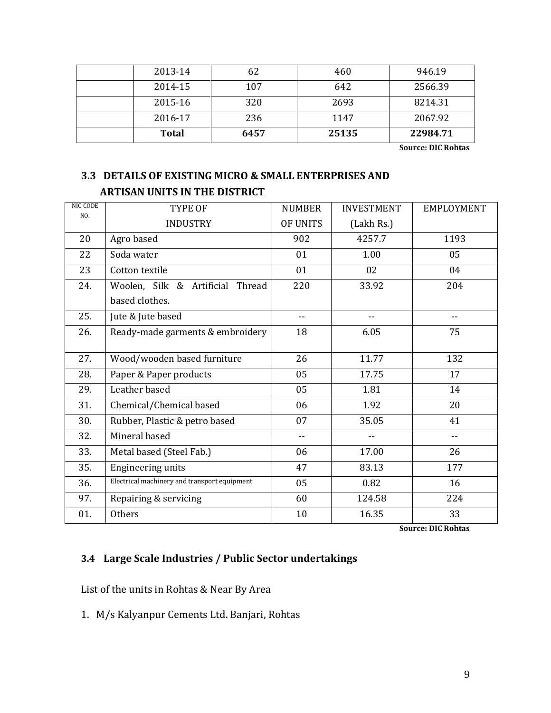| 2013-14      | 62   | 460   | 946.19   |
|--------------|------|-------|----------|
| 2014-15      | 107  | 642   | 2566.39  |
| 2015-16      | 320  | 2693  | 8214.31  |
| 2016-17      | 236  | 1147  | 2067.92  |
| <b>Total</b> | 6457 | 25135 | 22984.71 |

**Source: DIC Rohtas**

#### **3.3 DETAILS OF EXISTING MICRO & SMALL ENTERPRISES AND ARTISAN UNITS IN THE DISTRICT**

| NIC CODE<br>NO. | <b>TYPE OF</b>                               | <b>NUMBER</b>   | <b>INVESTMENT</b> | <b>EMPLOYMENT</b> |
|-----------------|----------------------------------------------|-----------------|-------------------|-------------------|
|                 | <b>INDUSTRY</b>                              | <b>OF UNITS</b> | (Lakh Rs.)        |                   |
| 20              | Agro based                                   | 902             | 4257.7            | 1193              |
| 22              | Soda water                                   | 01              | 1.00              | 05                |
| 23              | Cotton textile                               | 01              | 02                | 04                |
| 24.             | Woolen, Silk & Artificial Thread             | 220             | 33.92             | 204               |
|                 | based clothes.                               |                 |                   |                   |
| 25.             | Jute & Jute based                            | $-$             | --                | ۰.                |
| 26.             | Ready-made garments & embroidery             | 18              | 6.05              | 75                |
|                 |                                              |                 |                   |                   |
| 27.             | Wood/wooden based furniture                  | 26              | 11.77             | 132               |
| 28.             | Paper & Paper products                       | 05              | 17.75             | 17                |
| 29.             | Leather based                                | 05              | 1.81              | 14                |
| 31.             | Chemical/Chemical based                      | 06              | 1.92              | 20                |
| 30.             | Rubber, Plastic & petro based                | 07              | 35.05             | 41                |
| 32.             | Mineral based                                | $-$             |                   | --                |
| 33.             | Metal based (Steel Fab.)                     | 06              | 17.00             | 26                |
| 35.             | <b>Engineering units</b>                     | 47              | 83.13             | 177               |
| 36.             | Electrical machinery and transport equipment | 05              | 0.82              | 16                |
| 97.             | Repairing & servicing                        | 60              | 124.58            | 224               |
| 01.             | <b>Others</b>                                | 10              | 16.35             | 33                |

**Source: DIC Rohtas**

#### **3.4 Large Scale Industries / Public Sector undertakings**

List of the units in Rohtas & Near By Area

1. M/s Kalyanpur Cements Ltd. Banjari, Rohtas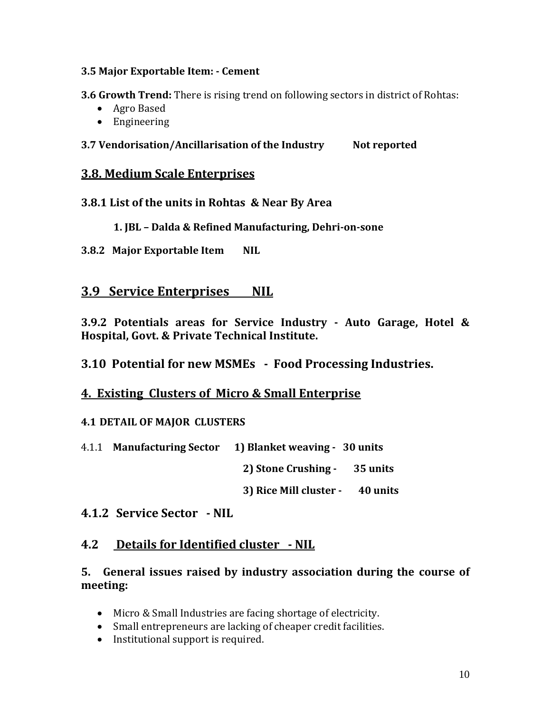#### **3.5 Major Exportable Item: - Cement**

**3.6 Growth Trend:** There is rising trend on following sectors in district of Rohtas:

- Agro Based
- Engineering

#### **3.7 Vendorisation/Ancillarisation of the Industry Not reported**

#### **3.8. Medium Scale Enterprises**

- **3.8.1 List of the units in Rohtas & Near By Area**
	- **1. JBL – Dalda & Refined Manufacturing, Dehri-on-sone**
- **3.8.2 Major Exportable Item NIL**

#### **3.9 Service Enterprises NIL**

**3.9.2 Potentials areas for Service Industry - Auto Garage, Hotel & Hospital, Govt. & Private Technical Institute.** 

**3.10 Potential for new MSMEs - Food Processing Industries.** 

#### **4. Existing Clusters of Micro & Small Enterprise**

#### **4.1 DETAIL OF MAJOR CLUSTERS**

4.1.1 **Manufacturing Sector 1) Blanket weaving - 30 units** 

**2) Stone Crushing - 35 units**

**3) Rice Mill cluster - 40 units** 

#### **4.1.2 Service Sector - NIL**

#### **4.2 Details for Identified cluster - NIL**

#### **5. General issues raised by industry association during the course of meeting:**

- Micro & Small Industries are facing shortage of electricity.
- Small entrepreneurs are lacking of cheaper credit facilities.
- Institutional support is required.